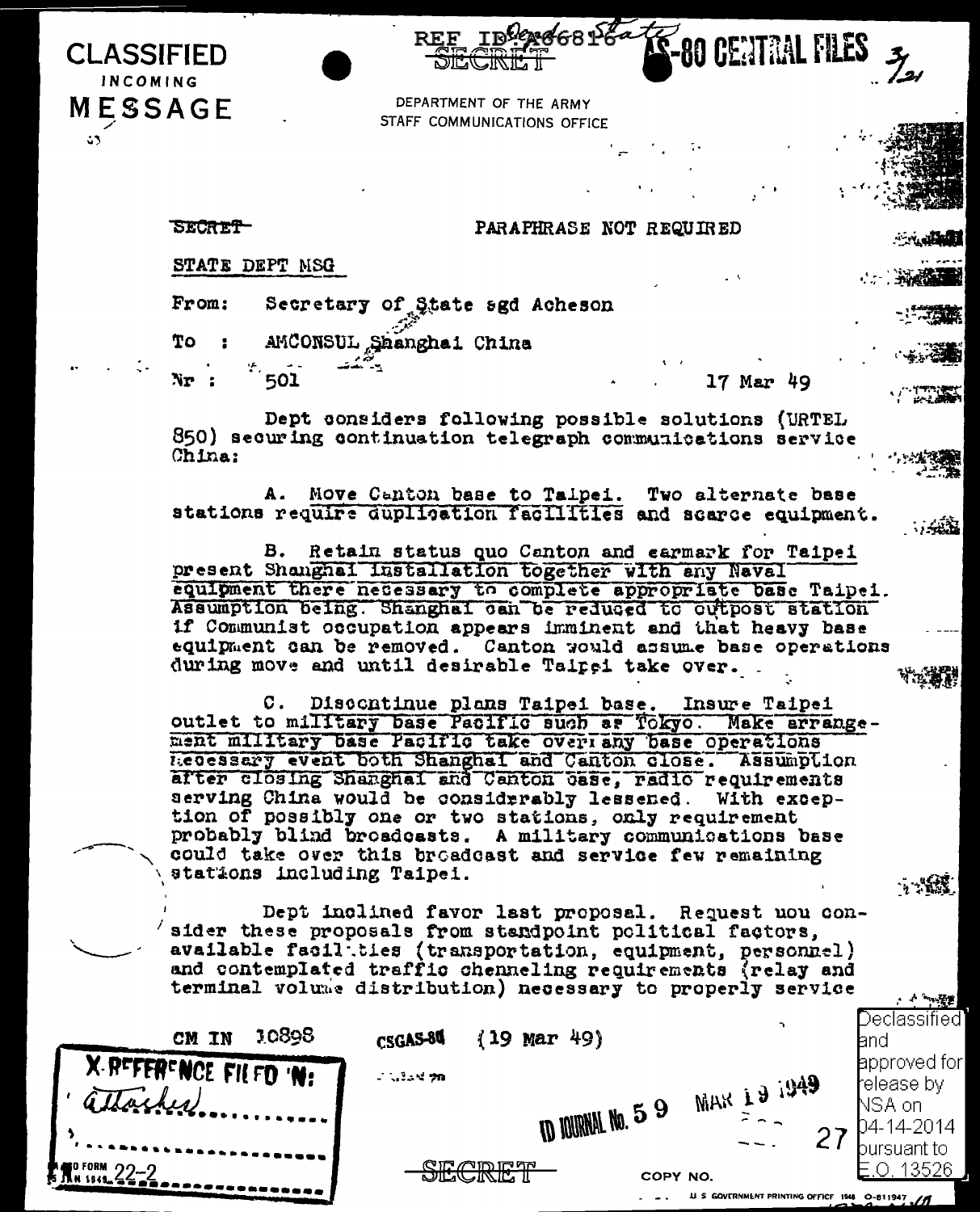INCOMING **MESSAGE**  $\ddot{\mathbf{u}}$ 

**CLASSIFIED** 

DEPARTMENT OF THE ARMY STAFF COMMUNICATIONS OFFICE

**SECRET** 

## PARAPHRASE NOT REQUIRED

STATE DEPT NSG

From: Secretary of State sgd Acheson

To: AMCONSUL Shanghai China يجا لشقد

Nr : 501

17 Mar 49

**80 CENTRAL FILES** 

Dept considers following possible solutions (URTEL 850) securing continuation telegraph communications service China:

Move Canton base to Talpei. Two alternate base A. stations require duplication facilities and scarce equipment.

B. Retain status quo Canton and earmark for Taipei present Shanghai Installation together with any Naval equipment there necessary to complete appropriate base Taipei. Assumption being. Shanghai can be reduced to outpost station if Communist occupation appears imminent and that heavy base equipment can be removed. Canton would assume base operations during move and until desirable Tairei take over.

Discontinue plans Taipei base.  $\mathbf{c}$  . **Insure Taipei** outlet to military base Pacific such as Tokyo. Make arrangement military base Pacific take over any base operations Recessary event both Shanghal and Canton close. Assumption after closing Shanghai and Canton case, radio requirements serving China would be considrrably lessened. With exception of possibly one or two stations, only requirement probably blind broadcasts. A military communications base could take over this broadcast and service few remaining stations including Taipei.

 $\sim 2.3$ 

Dept inclined favor last proposal. Request nou consider these proposals from standpoint political factors, available facil ties (transportation, equipment, personnel) and contemplated traffic chenneling requirements (relay and terminal volume distribution) necessary to properly service

| 10898<br>ΙN<br>CM              | CSGAS-84 | 49)<br>$\left\{ 19\right\}$<br>Mar           | ۰,                 | Declassified:<br>land                          |
|--------------------------------|----------|----------------------------------------------|--------------------|------------------------------------------------|
| X REFERENCE FILED 'N:<br>oiner | こくいい クロ  |                                              | $\sim$ MAR 19.1949 | <b>E</b> approved for<br>release by<br>NSA onl |
|                                |          | <b>ID JOURNAL No. 5 9</b>                    |                    | D4-14-2014<br>bursuant to                      |
| <b>AND FORM</b> 22-2           |          | ההיהו שונר עו<br>COPY NO.<br><u>decine i</u> |                    | 13526                                          |